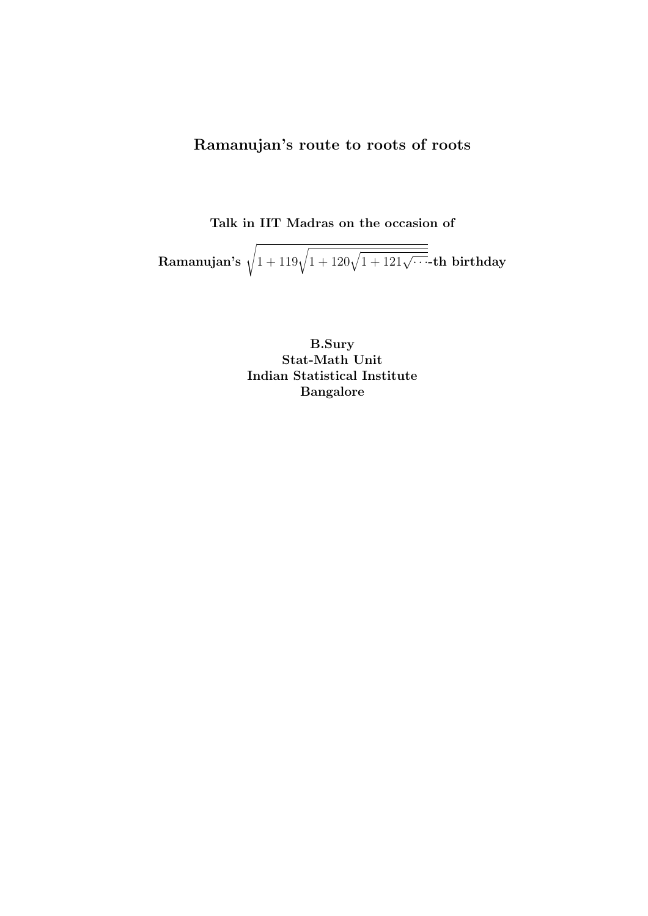Ramanujan's route to roots of roots

Talk in IIT Madras on the occasion of

 $\textbf{Ramanujan's }\sqrt{1+119\sqrt{1+120\sqrt{1+121\sqrt{\cdots}}} }$ th birthday

B.Sury Stat-Math Unit Indian Statistical Institute Bangalore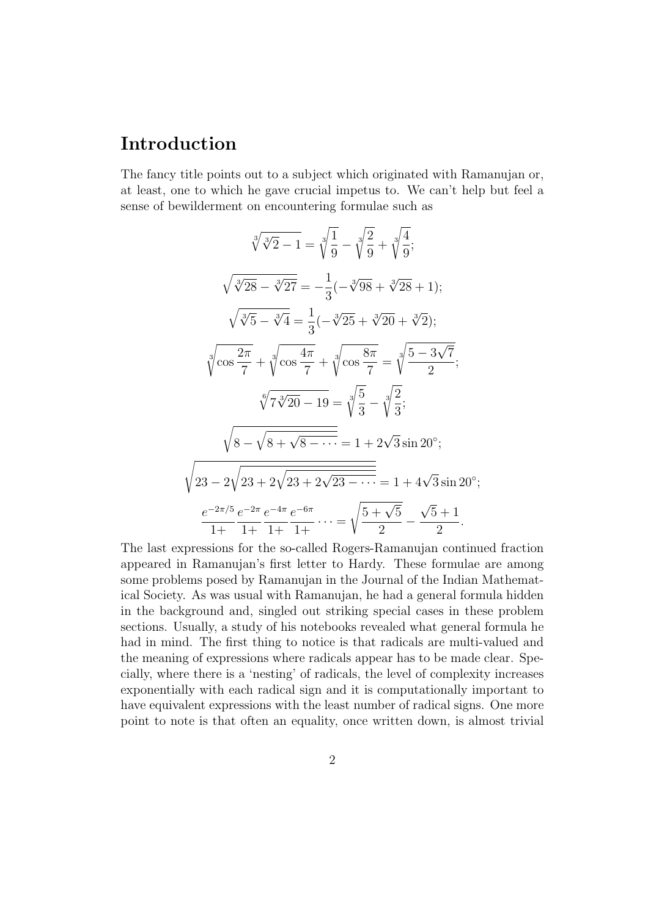# Introduction

The fancy title points out to a subject which originated with Ramanujan or, at least, one to which he gave crucial impetus to. We can't help but feel a sense of bewilderment on encountering formulae such as

$$
\sqrt[3]{\sqrt[3]{2}-1} = \sqrt[3]{\frac{1}{9}} - \sqrt[3]{\frac{2}{9}} + \sqrt[3]{\frac{4}{9}};
$$
  

$$
\sqrt{\sqrt[3]{28} - \sqrt[3]{27}} = -\frac{1}{3}(-\sqrt[3]{98} + \sqrt[3]{28} + 1);
$$
  

$$
\sqrt{\sqrt[3]{5} - \sqrt[3]{4}} = \frac{1}{3}(-\sqrt[3]{25} + \sqrt[3]{20} + \sqrt[3]{2});
$$
  

$$
\sqrt[3]{\cos{\frac{2\pi}{7}}} + \sqrt[3]{\cos{\frac{4\pi}{7}}} + \sqrt[3]{\cos{\frac{8\pi}{7}}} = \sqrt[3]{\frac{5-3\sqrt{7}}{2}};
$$
  

$$
\sqrt[6]{7\sqrt[3]{20} - 19} = \sqrt[3]{\frac{5}{3}} - \sqrt[3]{\frac{2}{3}};
$$
  

$$
\sqrt{8 - \sqrt{8 + \sqrt{8 - \cdots}}} = 1 + 2\sqrt{3}\sin 20^\circ;
$$
  

$$
\sqrt{23 - 2\sqrt{23} + 2\sqrt{23} + 2\sqrt{23 - \cdots}} = 1 + 4\sqrt{3}\sin 20^\circ;
$$
  

$$
\frac{e^{-2\pi/5}}{1 + 1 + 1 + 1 + 1}e^{-6\pi} \cdots = \sqrt{\frac{5 + \sqrt{5}}{2}} - \frac{\sqrt{5} + 1}{2}.
$$

The last expressions for the so-called Rogers-Ramanujan continued fraction appeared in Ramanujan's first letter to Hardy. These formulae are among some problems posed by Ramanujan in the Journal of the Indian Mathematical Society. As was usual with Ramanujan, he had a general formula hidden in the background and, singled out striking special cases in these problem sections. Usually, a study of his notebooks revealed what general formula he had in mind. The first thing to notice is that radicals are multi-valued and the meaning of expressions where radicals appear has to be made clear. Specially, where there is a 'nesting' of radicals, the level of complexity increases exponentially with each radical sign and it is computationally important to have equivalent expressions with the least number of radical signs. One more point to note is that often an equality, once written down, is almost trivial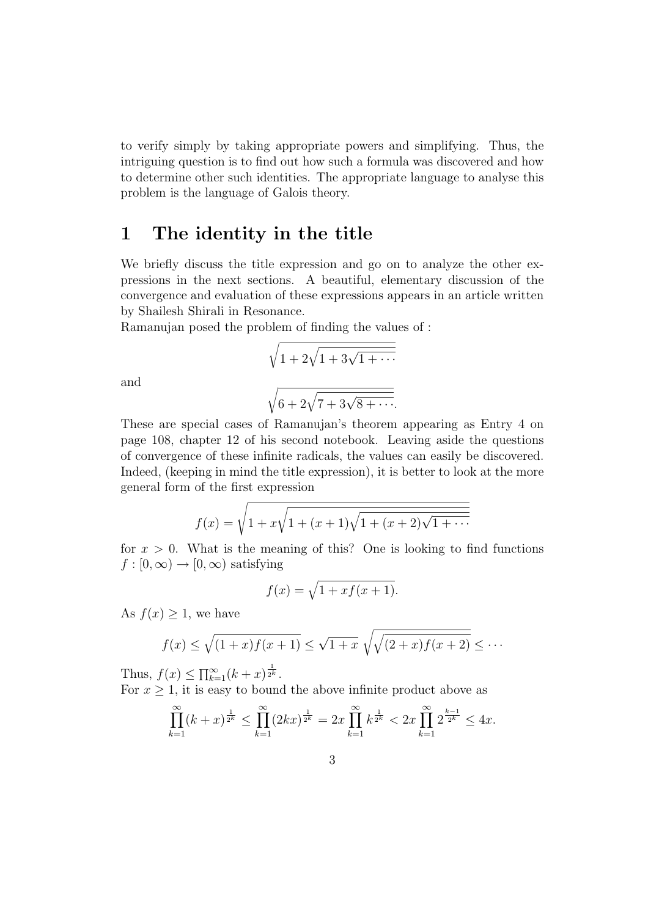to verify simply by taking appropriate powers and simplifying. Thus, the intriguing question is to find out how such a formula was discovered and how to determine other such identities. The appropriate language to analyse this problem is the language of Galois theory.

# 1 The identity in the title

We briefly discuss the title expression and go on to analyze the other expressions in the next sections. A beautiful, elementary discussion of the convergence and evaluation of these expressions appears in an article written by Shailesh Shirali in Resonance.

Ramanujan posed the problem of finding the values of :

$$
\sqrt{1 + 2\sqrt{1 + 3\sqrt{1 + \dotsb}}}
$$

and

$$
\sqrt{6+2\sqrt{7+3\sqrt{8+\cdots}}}.
$$

These are special cases of Ramanujan's theorem appearing as Entry 4 on page 108, chapter 12 of his second notebook. Leaving aside the questions of convergence of these infinite radicals, the values can easily be discovered. Indeed, (keeping in mind the title expression), it is better to look at the more general form of the first expression

$$
f(x) = \sqrt{1 + x\sqrt{1 + (x+1)\sqrt{1 + (x+2)\sqrt{1 + \cdots}}}}
$$

for  $x > 0$ . What is the meaning of this? One is looking to find functions  $f : [0, \infty) \to [0, \infty)$  satisfying

$$
f(x) = \sqrt{1 + x f(x+1)}.
$$

As  $f(x) \geq 1$ , we have

$$
f(x) \le \sqrt{(1+x)f(x+1)} \le \sqrt{1+x} \sqrt{\sqrt{(2+x)f(x+2)}} \le \cdots
$$

Thus,  $f(x) \le \prod_{k=1}^{\infty} (k+x)^{\frac{1}{2^k}}$ .

For  $x \geq 1$ , it is easy to bound the above infinite product above as

$$
\prod_{k=1}^{\infty} (k+x)^{\frac{1}{2^k}} \le \prod_{k=1}^{\infty} (2kx)^{\frac{1}{2^k}} = 2x \prod_{k=1}^{\infty} k^{\frac{1}{2^k}} < 2x \prod_{k=1}^{\infty} 2^{\frac{k-1}{2^k}} \le 4x.
$$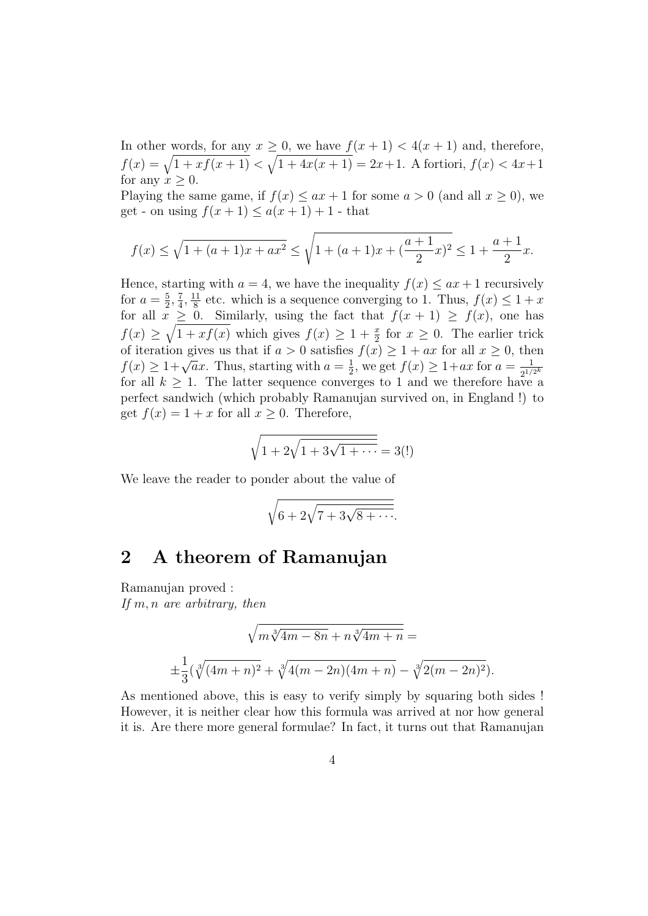In other words, for any  $x \geq 0$ , we have  $f(x+1) < 4(x+1)$  and, therefore, If other words, for any  $x \ge 0$ , we have  $f(x+1) < 4(x+1)$  and, therefore,<br>  $f(x) = \sqrt{1 + xf(x+1)} < \sqrt{1 + 4x(x+1)} = 2x+1$ . A fortiori,  $f(x) < 4x+1$ for any  $x \geq 0$ .

Playing the same game, if  $f(x) \le ax + 1$  for some  $a > 0$  (and all  $x \ge 0$ ), we get - on using  $f(x + 1) \le a(x + 1) + 1$  - that

$$
f(x) \le \sqrt{1 + (a+1)x + ax^2} \le \sqrt{1 + (a+1)x + \left(\frac{a+1}{2}x\right)^2} \le 1 + \frac{a+1}{2}x.
$$

Hence, starting with  $a = 4$ , we have the inequality  $f(x) \leq ax + 1$  recursively for  $a=\frac{5}{2}$  $\frac{5}{2}, \frac{7}{4}$  $\frac{7}{4}$ ,  $\frac{11}{8}$  $\frac{11}{8}$  etc. which is a sequence converging to 1. Thus,  $f(x) \leq 1 + x$ for all  $x \geq 0$ . Similarly, using the fact that  $f(x+1) \geq f(x)$ , one has  $f(x) \geq \sqrt{1 + xf(x)}$  which gives  $f(x) \geq 1 + \frac{x}{2}$  for  $x \geq 0$ . The earlier trick of iteration gives us that if  $a > 0$  satisfies  $f(x) \geq 1 + ax$  for all  $x \geq 0$ , then of iteration gives us that if  $a > 0$  satisfies<br> $f(x) \geq 1 + \sqrt{a}x$ . Thus, starting with  $a = \frac{1}{2}$  $\frac{1}{2}$ , we get  $f(x) \ge 1 + ax$  for  $a = \frac{1}{2^{1/2}}$  $\overline{2^{1/2^k}}$ for all  $k \geq 1$ . The latter sequence converges to 1 and we therefore have a perfect sandwich (which probably Ramanujan survived on, in England !) to get  $f(x) = 1 + x$  for all  $x \ge 0$ . Therefore,

$$
\sqrt{1 + 2\sqrt{1 + 3\sqrt{1 + \dots}}} = 3(!)
$$

We leave the reader to ponder about the value of

$$
\sqrt{6+2\sqrt{7+3\sqrt{8+\cdots}}}.
$$

# 2 A theorem of Ramanujan

Ramanujan proved : If m, n are arbitrary, then

$$
\sqrt{m\sqrt[3]{4m-8n}+n\sqrt[3]{4m+n}} =
$$
  

$$
\pm \frac{1}{3}(\sqrt[3]{(4m+n)^2} + \sqrt[3]{4(m-2n)(4m+n)} - \sqrt[3]{2(m-2n)^2}).
$$

As mentioned above, this is easy to verify simply by squaring both sides ! However, it is neither clear how this formula was arrived at nor how general it is. Are there more general formulae? In fact, it turns out that Ramanujan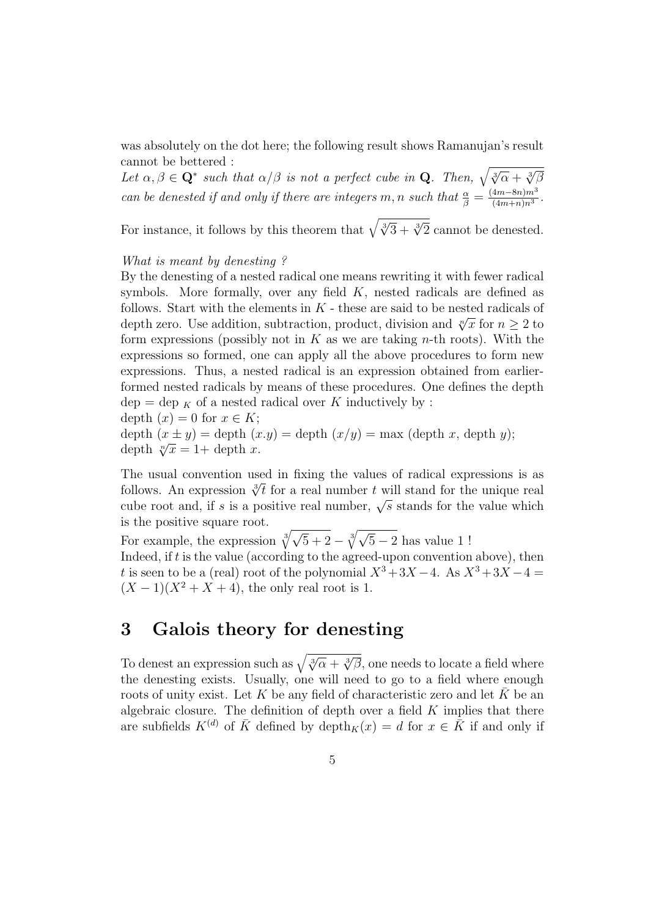was absolutely on the dot here; the following result shows Ramanujan's result cannot be bettered :

cannot be bettered:<br>Let  $\alpha, \beta \in \mathbf{Q}^*$  such that  $\alpha/\beta$  is not a perfect cube in **Q**. Then,  $\sqrt{\sqrt[3]{\alpha} + \sqrt[3]{\beta}}$ can be denested if and only if there are integers m, n such that  $\frac{\alpha}{\beta} = \frac{(4m-8n)m^3}{(4m+n)n^3}$  $\frac{4m-8n)m^3}{(4m+n)n^3}.$ 

For instance, it follows by this theorem that  $\sqrt{\sqrt[3]{3} + \sqrt[3]{2}}$  cannot be denested.

### What is meant by denesting ?

By the denesting of a nested radical one means rewriting it with fewer radical symbols. More formally, over any field  $K$ , nested radicals are defined as follows. Start with the elements in  $K$  - these are said to be nested radicals of depth zero. Use addition, subtraction, product, division and  $\sqrt[n]{x}$  for  $n \geq 2$  to form expressions (possibly not in  $K$  as we are taking *n*-th roots). With the expressions so formed, one can apply all the above procedures to form new expressions. Thus, a nested radical is an expression obtained from earlierformed nested radicals by means of these procedures. One defines the depth  $dep = dep \nvert_K$  of a nested radical over K inductively by :

depth  $(x) = 0$  for  $x \in K$ ;

depth  $(x \pm y) =$  depth  $(x \cdot y) =$  depth  $(x \cdot y) =$  max (depth x, depth y); depth  $\sqrt[n]{x} = 1 +$  depth x.

The usual convention used in fixing the values of radical expressions is as The usual convention used in fixing the values of radical expressions is as<br>follows. An expression  $\sqrt[3]{t}$  for a real number t will stand for the unique real cube root and, if s is a positive real number  $\iota$  will stand for the unique real cube root and, if s is a positive real number,  $\sqrt{s}$  stands for the value which is the positive square root.

For example, the expression  $\sqrt[3]{}$  $\sqrt{q}$  $\frac{1}{5+2} - \sqrt[3]{\sqrt{2}}$  $\overline{5} - 2$  has value 1! Indeed, if  $t$  is the value (according to the agreed-upon convention above), then t is seen to be a (real) root of the polynomial  $X^3+3X-4$ . As  $X^3+3X-4=$  $(X-1)(X^2+X+4)$ , the only real root is 1.

# 3 Galois theory for denesting

To denest an expression such as  $\sqrt{\sqrt[3]{\alpha} + \sqrt[3]{\beta}}$ , one needs to locate a field where the denesting exists. Usually, one will need to go to a field where enough roots of unity exist. Let K be any field of characteristic zero and let  $\bar{K}$  be an algebraic closure. The definition of depth over a field  $K$  implies that there are subfields  $K^{(d)}$  of  $\overline{K}$  defined by depth $K(x) = d$  for  $x \in \overline{K}$  if and only if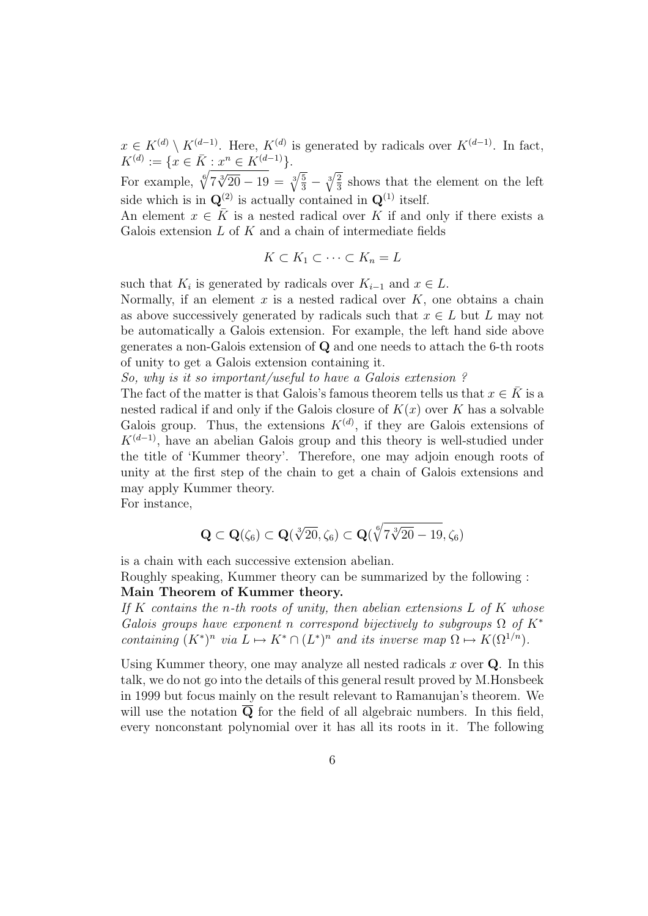$x \in K^{(d)} \setminus K^{(d-1)}$ . Here,  $K^{(d)}$  is generated by radicals over  $K^{(d-1)}$ . In fact,  $K^{(d)} := \{x \in \overline{K} : x^n \in K^{(d-1)}\}.$ 

For example,  $\sqrt[6]{7\sqrt[3]{20} - 19} = \sqrt[3]{\frac{5}{3}}$  $\frac{5}{3}$   $\sqrt[3]{}$  $\sqrt{2}$  $\frac{2}{3}$  shows that the element on the left side which is in  $\mathbf{Q}^{(2)}$  is actually contained in  $\mathbf{Q}^{(1)}$  itself.

An element  $x \in \overline{K}$  is a nested radical over K if and only if there exists a Galois extension  $L$  of  $K$  and a chain of intermediate fields

$$
K \subset K_1 \subset \cdots \subset K_n = L
$$

such that  $K_i$  is generated by radicals over  $K_{i-1}$  and  $x \in L$ .

Normally, if an element  $x$  is a nested radical over  $K$ , one obtains a chain as above successively generated by radicals such that  $x \in L$  but L may not be automatically a Galois extension. For example, the left hand side above generates a non-Galois extension of Q and one needs to attach the 6-th roots of unity to get a Galois extension containing it.

So, why is it so important/useful to have a Galois extension ?

The fact of the matter is that Galois's famous theorem tells us that  $x \in K$  is a nested radical if and only if the Galois closure of  $K(x)$  over K has a solvable Galois group. Thus, the extensions  $K^{(d)}$ , if they are Galois extensions of  $K^{(d-1)}$ , have an abelian Galois group and this theory is well-studied under the title of 'Kummer theory'. Therefore, one may adjoin enough roots of unity at the first step of the chain to get a chain of Galois extensions and may apply Kummer theory.

For instance,

$$
\mathbf{Q} \subset \mathbf{Q}(\zeta_6) \subset \mathbf{Q}(\sqrt[3]{20},\zeta_6) \subset \mathbf{Q}(\sqrt[6]{7\sqrt[3]{20}-19},\zeta_6)
$$

is a chain with each successive extension abelian.

Roughly speaking, Kummer theory can be summarized by the following : Main Theorem of Kummer theory.

If K contains the n-th roots of unity, then abelian extensions  $L$  of K whose Galois groups have exponent n correspond bijectively to subgroups  $\Omega$  of  $K^*$ containing  $(K^*)^n$  via  $L \mapsto K^* \cap (L^*)^n$  and its inverse map  $\Omega \mapsto K(\Omega^{1/n})$ .

Using Kummer theory, one may analyze all nested radicals  $x$  over  $Q$ . In this talk, we do not go into the details of this general result proved by M.Honsbeek in 1999 but focus mainly on the result relevant to Ramanujan's theorem. We will use the notation  $\overline{Q}$  for the field of all algebraic numbers. In this field, every nonconstant polynomial over it has all its roots in it. The following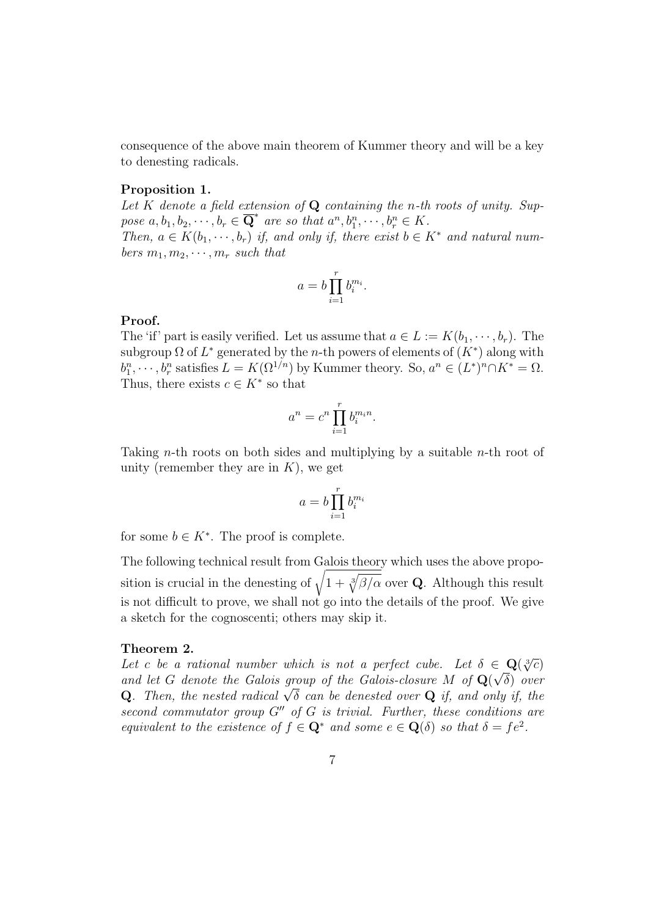consequence of the above main theorem of Kummer theory and will be a key to denesting radicals.

#### Proposition 1.

Let K denote a field extension of  $Q$  containing the n-th roots of unity. Suppose  $a, b_1, b_2, \cdots, b_r \in \overline{\mathbf{Q}}^*$  are so that  $a^n, b_1^n, \cdots, b_r^n \in K$ . Then,  $a \in K(b_1, \dots, b_r)$  if, and only if, there exist  $b \in K^*$  and natural numbers  $m_1, m_2, \cdots, m_r$  such that

$$
a = b \prod_{i=1}^r b_i^{m_i}.
$$

### Proof.

The 'if' part is easily verified. Let us assume that  $a \in L := K(b_1, \dots, b_r)$ . The subgroup  $\Omega$  of  $L^*$  generated by the *n*-th powers of elements of  $(K^*)$  along with  $b_1^n, \dots, b_r^n$  satisfies  $L = K(\Omega^{1/n})$  by Kummer theory. So,  $a^n \in (L^*)^n \cap K^* = \Omega$ . Thus, there exists  $c \in K^*$  so that

$$
a^n = c^n \prod_{i=1}^r b_i^{m_i n}.
$$

Taking *n*-th roots on both sides and multiplying by a suitable *n*-th root of unity (remember they are in  $K$ ), we get

$$
a = b \prod_{i=1}^r b_i^{m_i}
$$

for some  $b \in K^*$ . The proof is complete.

The following technical result from Galois theory which uses the above propo-The following technical result from Galois t<br>sition is crucial in the denesting of  $\sqrt{1+\frac{3}{2}}$  $\frac{1}{\sqrt{2}}$  $\beta/\alpha$  over Q. Although this result is not difficult to prove, we shall not go into the details of the proof. We give a sketch for the cognoscenti; others may skip it.

#### Theorem 2.

**Let** c be a rational number which is not a perfect cube. Let  $\delta \in \mathbf{Q}(\sqrt[3]{c})$ and let G denote the Galois group of the Galois-closure M of  $\mathbf{Q}(\sqrt{\delta})$  over and let G denote the Galois group of the Galois-closure M of  $\mathbf{Q}(\sqrt{v})$  over  $\mathbf{Q}$ . Then, the nested radical  $\sqrt{\delta}$  can be denested over  $\mathbf{Q}$  if, and only if, the second commutator group  $G''$  of G is trivial. Further, these conditions are equivalent to the existence of  $f \in \mathbf{Q}^*$  and some  $e \in \mathbf{Q}(\delta)$  so that  $\delta = fe^2$ .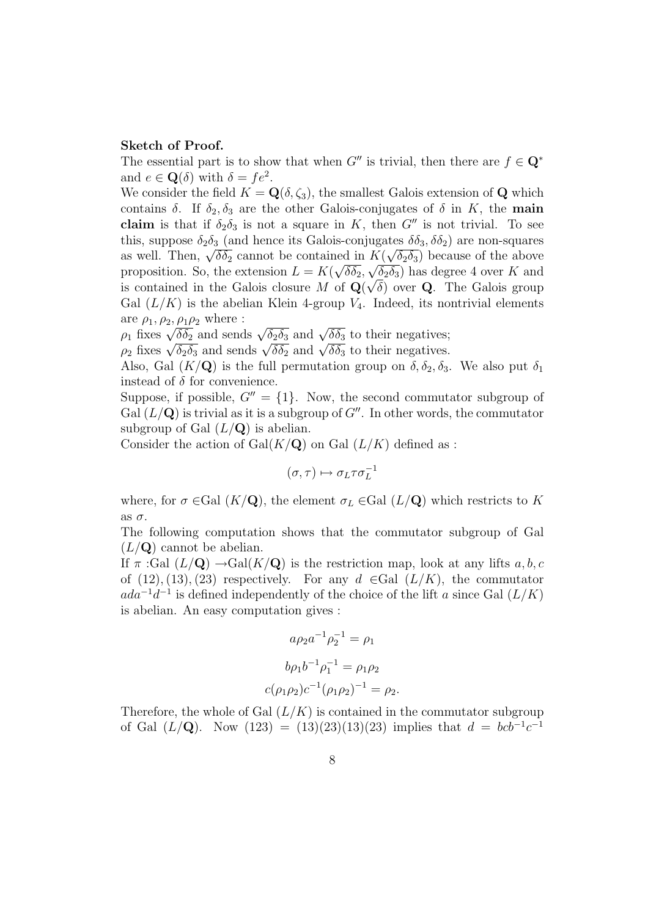#### Sketch of Proof.

The essential part is to show that when  $G''$  is trivial, then there are  $f \in \mathbb{Q}^*$ and  $e \in \mathbf{Q}(\delta)$  with  $\delta = fe^2$ .

We consider the field  $K = \mathbf{Q}(\delta, \zeta_3)$ , the smallest Galois extension of **Q** which contains  $\delta$ . If  $\delta_2, \delta_3$  are the other Galois-conjugates of  $\delta$  in K, the main claim is that if  $\delta_2 \delta_3$  is not a square in K, then G'' is not trivial. To see this, suppose  $\delta_2 \delta_3$  (and hence its Galois-conjugates  $\delta \delta_3, \delta \delta_2$ ) are non-squares this, suppose  $\sigma_2\sigma_3$  (and nence its Galois-conjugates  $\sigma_3$ ,  $\sigma_2$ ) are non-squares<br>as well. Then,  $\sqrt{\delta \delta_2}$  cannot be contained in  $K(\sqrt{\delta_2 \delta_3})$  because of the above proposition. So, the extension  $L = K(\sqrt{\delta \delta_2}, \sqrt{\delta_2 \delta_3})$  has degree 4 over K and is contained in the Galois closure M of  $\mathbf{Q}(\sqrt{\delta})$  over **Q**. The Galois group Gal  $(L/K)$  is the abelian Klein 4-group  $V_4$ . Indeed, its nontrivial elements are  $\rho_1$ ,  $\rho_2$ ,  $\rho_1 \rho_2$  where :

are  $\rho_1, \rho_2, \rho_1 \rho_2$  where :<br> $\rho_1$  fixes  $\sqrt{\delta \delta_2}$  and sends  $\sqrt{\delta_2 \delta_3}$  and  $\sqrt{\delta \delta_3}$  to their negatives;  $\rho_1$  fixes  $\sqrt{\sigma_2}$  and sends  $\sqrt{\sigma_2}$  and  $\sqrt{\sigma_3}$  to their negatives;<br> $\rho_2$  fixes  $\sqrt{\sigma_2}$  and sends  $\sqrt{\sigma_2}$  and  $\sqrt{\sigma_3}$  to their negatives.

Also, Gal  $(K/\mathbf{Q})$  is the full permutation group on  $\delta, \delta_2, \delta_3$ . We also put  $\delta_1$ instead of  $\delta$  for convenience.

Suppose, if possible,  $G'' = \{1\}$ . Now, the second commutator subgroup of Gal  $(L/\mathbf{Q})$  is trivial as it is a subgroup of  $G''$ . In other words, the commutator subgroup of Gal  $(L/\mathbf{Q})$  is abelian.

Consider the action of  $Gal(K/\mathbf{Q})$  on Gal  $(L/K)$  defined as :

$$
(\sigma,\tau)\mapsto \sigma_L\tau\sigma_L^{-1}
$$

where, for  $\sigma \in \text{Gal}(K/\mathbf{Q})$ , the element  $\sigma_L \in \text{Gal}(L/\mathbf{Q})$  which restricts to K as  $\sigma$ .

The following computation shows that the commutator subgroup of Gal  $(L/\mathbf{Q})$  cannot be abelian.

If  $\pi$  :Gal  $(L/\mathbf{Q}) \rightarrow$ Gal $(K/\mathbf{Q})$  is the restriction map, look at any lifts a, b, c of  $(12), (13), (23)$  respectively. For any  $d \in$ Gal  $(L/K)$ , the commutator  $ada^{-1}d^{-1}$  is defined independently of the choice of the lift a since Gal  $(L/K)$ is abelian. An easy computation gives :

$$
a\rho_2 a^{-1} \rho_2^{-1} = \rho_1
$$
  

$$
b\rho_1 b^{-1} \rho_1^{-1} = \rho_1 \rho_2
$$
  

$$
c(\rho_1 \rho_2) c^{-1} (\rho_1 \rho_2)^{-1} = \rho_2.
$$

Therefore, the whole of Gal  $(L/K)$  is contained in the commutator subgroup of Gal  $(L/\mathbf{Q})$ . Now  $(123) = (13)(23)(13)(23)$  implies that  $d = bcb^{-1}c^{-1}$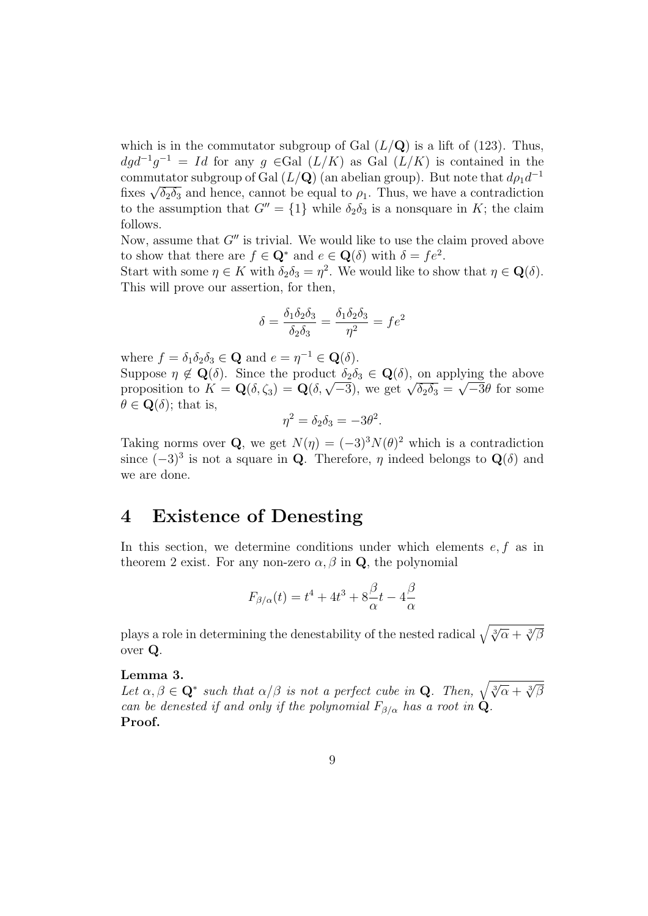which is in the commutator subgroup of Gal  $(L/Q)$  is a lift of (123). Thus,  $dg d^{-1}g^{-1} = Id$  for any  $g \in \text{Gal } (L/K)$  as Gal  $(L/K)$  is contained in the commutator subgroup of Gal  $(L/Q)$  (an abelian group). But note that  $d\rho_1 d^{-1}$ commutator subgroup of Gai  $(L/\mathbf{Q})$  (an abeilah group). But note that  $a\rho_1 a$ <br>fixes  $\sqrt{\delta_2 \delta_3}$  and hence, cannot be equal to  $\rho_1$ . Thus, we have a contradiction to the assumption that  $G'' = \{1\}$  while  $\delta_2 \delta_3$  is a nonsquare in K; the claim follows.

Now, assume that  $G''$  is trivial. We would like to use the claim proved above to show that there are  $f \in \mathbf{Q}^*$  and  $e \in \mathbf{Q}(\delta)$  with  $\delta = fe^2$ .

Start with some  $\eta \in K$  with  $\delta_2 \delta_3 = \eta^2$ . We would like to show that  $\eta \in \mathbf{Q}(\delta)$ . This will prove our assertion, for then,

$$
\delta = \frac{\delta_1 \delta_2 \delta_3}{\delta_2 \delta_3} = \frac{\delta_1 \delta_2 \delta_3}{\eta^2} = f e^2
$$

where  $f = \delta_1 \delta_2 \delta_3 \in \mathbf{Q}$  and  $e = \eta^{-1} \in \mathbf{Q}(\delta)$ . Suppose  $\eta \notin \mathbf{Q}(\delta)$ . Since the product  $\delta_2 \delta_3 \in \mathbf{Q}(\delta)$ , on applying the above Suppose  $\eta \notin \mathbf{Q}(0)$ . Since the product  $\partial_2 \partial_3 \in \mathbf{Q}(0)$ , on applying the above<br>proposition to  $K = \mathbf{Q}(\delta, \zeta_3) = \mathbf{Q}(\delta, \sqrt{-3})$ , we get  $\sqrt{\delta_2 \delta_3} = \sqrt{-3}\theta$  for some  $\theta \in \mathbf{Q}(\delta)$ ; that is,

$$
\eta^2 = \delta_2 \delta_3 = -3\theta^2.
$$

Taking norms over Q, we get  $N(\eta) = (-3)^3 N(\theta)^2$  which is a contradiction since  $(-3)^3$  is not a square in Q. Therefore,  $\eta$  indeed belongs to  $\mathbf{Q}(\delta)$  and we are done.

# 4 Existence of Denesting

In this section, we determine conditions under which elements  $e, f$  as in theorem 2 exist. For any non-zero  $\alpha, \beta$  in Q, the polynomial

$$
F_{\beta/\alpha}(t) = t^4 + 4t^3 + 8\frac{\beta}{\alpha}t - 4\frac{\beta}{\alpha}
$$

plays a role in determining the denestability of the nested radical  $\sqrt{\sqrt[3]{\alpha} + \sqrt[3]{\beta}}$ over Q.

### Lemma 3.

**Lemma 3.**<br>Let  $\alpha, \beta \in \mathbf{Q}^*$  such that  $\alpha/\beta$  is not a perfect cube in **Q**. Then,  $\sqrt{\sqrt[3]{\alpha} + \sqrt[3]{\beta}}$ can be denested if and only if the polynomial  $F_{\beta/\alpha}$  has a root in  $\dot{Q}$ . Proof.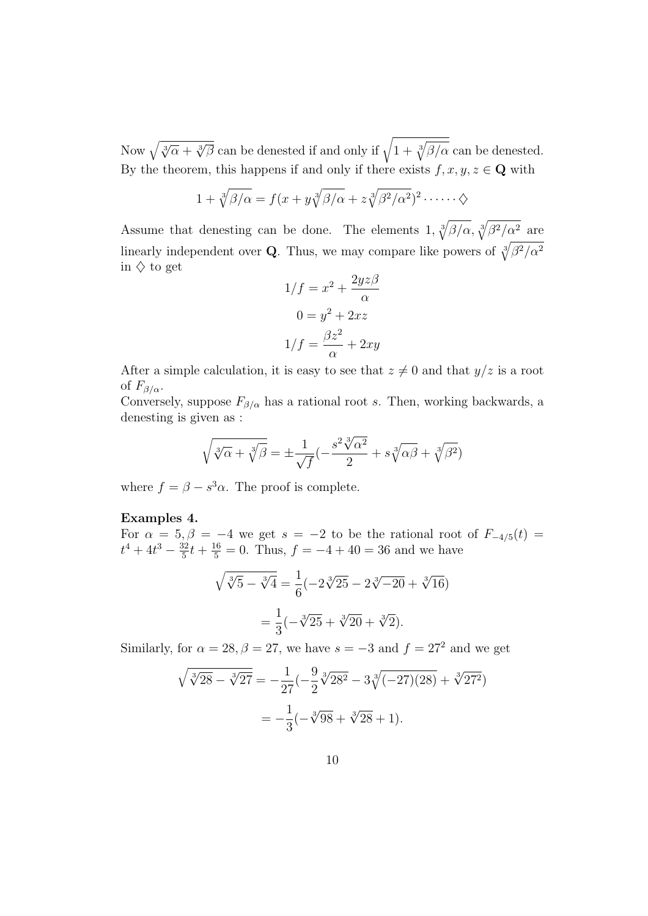Now  $\sqrt{\sqrt[3]{\alpha} + \sqrt[3]{\beta}}$  can be denested if and only if  $\sqrt{1 + \sqrt[3]{\alpha}}$  $\overline{\phantom{a}}$  $\beta/\alpha$  can be denested. By the theorem, this happens if and only if there exists  $f, x, y, z \in \mathbf{Q}$  with

$$
1 + \sqrt[3]{\beta/\alpha} = f(x + y\sqrt[3]{\beta/\alpha} + z\sqrt[3]{\beta^2/\alpha^2})^2 \cdots \cdots \diamondsuit
$$

Assume that denesting can be done. The elements  $1, \sqrt[3]{ }$  $\beta/\alpha$ ,  $\sqrt[3]{ }$  $\mathcal{L}$  $\beta^2/\alpha^2$  are linearly independent over Q. Thus, we may compare like powers of  $\sqrt[3]{\beta^2/\alpha^2}$ in  $\diamondsuit$  to get

$$
1/f = x2 + \frac{2yz\beta}{\alpha}
$$

$$
0 = y2 + 2xz
$$

$$
1/f = \frac{\beta z2}{\alpha} + 2xy
$$

After a simple calculation, it is easy to see that  $z \neq 0$  and that  $y/z$  is a root of  $F_{\beta/\alpha}$ .

Conversely, suppose  $F_{\beta/\alpha}$  has a rational root s. Then, working backwards, a denesting is given as :

$$
\sqrt{\sqrt[3]{\alpha} + \sqrt[3]{\beta}} = \pm \frac{1}{\sqrt{f}} \left( -\frac{s^2 \sqrt[3]{\alpha^2}}{2} + s \sqrt[3]{\alpha \beta} + \sqrt[3]{\beta^2} \right)
$$

where  $f = \beta - s^3 \alpha$ . The proof is complete.

### Examples 4.

For  $\alpha = 5, \beta = -4$  we get  $s = -2$  to be the rational root of  $F_{-4/5}(t) =$  $t^4 + 4t^3 - \frac{32}{5}$  $\frac{32}{5}t + \frac{16}{5} = 0$ . Thus,  $f = -4 + 40 = 36$  and we have

$$
\sqrt{\sqrt[3]{5} - \sqrt[3]{4}} = \frac{1}{6}(-2\sqrt[3]{25} - 2\sqrt[3]{-20} + \sqrt[3]{16})
$$

$$
= \frac{1}{3}(-\sqrt[3]{25} + \sqrt[3]{20} + \sqrt[3]{2}).
$$

Similarly, for  $\alpha = 28, \beta = 27$ , we have  $s = -3$  and  $f = 27^2$  and we get

$$
\sqrt{\sqrt[3]{28} - \sqrt[3]{27}} = -\frac{1}{27} \left(-\frac{9}{2}\sqrt[3]{28^2} - 3\sqrt[3]{(-27)(28)} + \sqrt[3]{27^2}\right)
$$

$$
= -\frac{1}{3} \left(-\sqrt[3]{98} + \sqrt[3]{28} + 1\right).
$$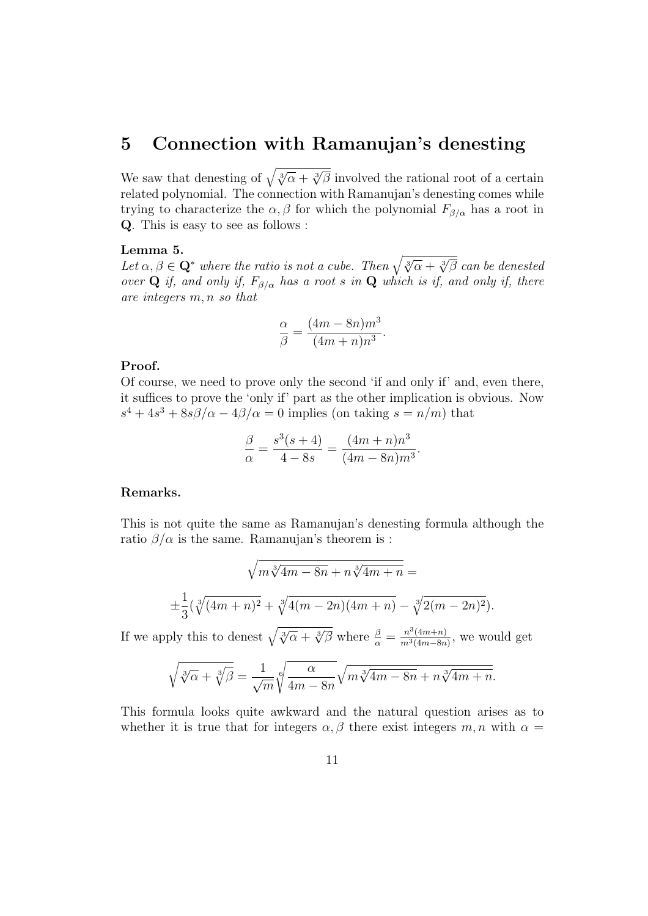# 5 Connection with Ramanujan's denesting

We saw that denesting of  $\sqrt{\sqrt[3]{\alpha} + \sqrt[3]{\beta}}$  involved the rational root of a certain related polynomial. The connection with Ramanujan's denesting comes while trying to characterize the  $\alpha, \beta$  for which the polynomial  $F_{\beta/\alpha}$  has a root in Q. This is easy to see as follows :

#### Lemma 5.

**Lemma 5.**<br>Let  $\alpha, \beta \in \mathbf{Q}^*$  where the ratio is not a cube. Then  $\sqrt{\sqrt[3]{\alpha} + \sqrt[3]{\beta}}$  can be denested over Q if, and only if,  $F_{\beta/\alpha}$  has a root s in Q which is if, and only if, there are integers m, n so that

$$
\frac{\alpha}{\beta} = \frac{(4m - 8n)m^3}{(4m + n)n^3}.
$$

## Proof.

Of course, we need to prove only the second 'if and only if' and, even there, it suffices to prove the 'only if' part as the other implication is obvious. Now  $s^4 + 4s^3 + 8s\beta/\alpha - 4\beta/\alpha = 0$  implies (on taking  $s = n/m$ ) that

$$
\frac{\beta}{\alpha} = \frac{s^3(s+4)}{4-8s} = \frac{(4m+n)n^3}{(4m-8n)m^3}.
$$

# Remarks.

This is not quite the same as Ramanujan's denesting formula although the ratio  $\beta/\alpha$  is the same. Ramanujan's theorem is :

$$
\sqrt{m\sqrt[3]{4m-8n}+n\sqrt[3]{4m+n}} =
$$
  

$$
\pm \frac{1}{3}(\sqrt[3]{(4m+n)^2} + \sqrt[3]{4(m-2n)(4m+n)} - \sqrt[3]{2(m-2n)^2}).
$$

If we apply this to denest  $\sqrt{\sqrt[3]{\alpha} + \sqrt[3]{\beta}}$  where  $\frac{\beta}{\alpha} = \frac{n^3(4m+n)}{m^3(4m-8n)}$  $\frac{n^{\circ}(4m+n)}{m^3(4m-8n)}$ , we would get

$$
\sqrt{\sqrt[3]{\alpha} + \sqrt[3]{\beta}} = \frac{1}{\sqrt{m}} \sqrt[6]{\frac{\alpha}{4m - 8n}} \sqrt{m \sqrt[3]{4m - 8n} + n \sqrt[3]{4m + n}}.
$$

This formula looks quite awkward and the natural question arises as to whether it is true that for integers  $\alpha, \beta$  there exist integers m, n with  $\alpha =$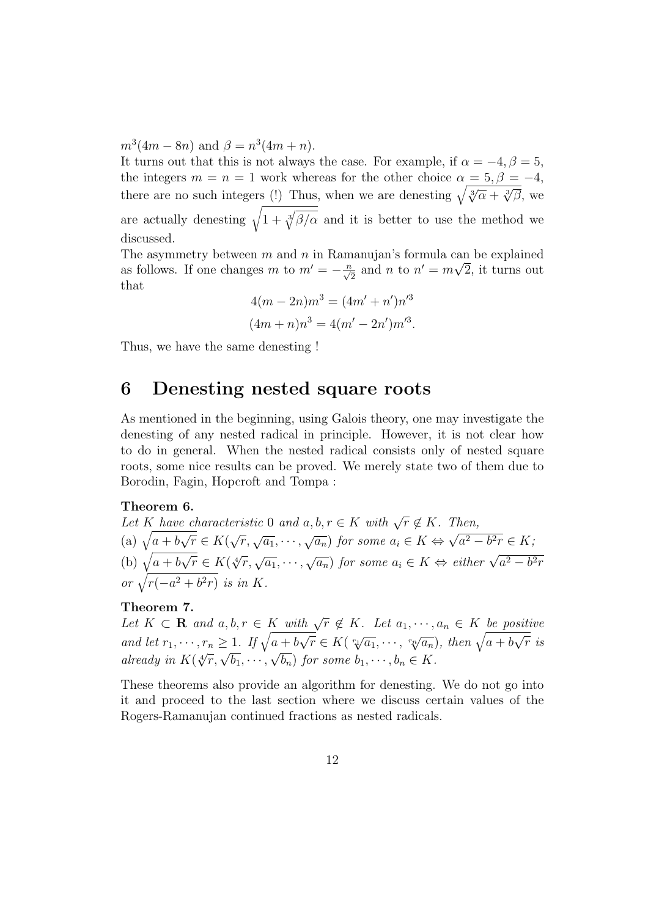$m^3(4m - 8n)$  and  $\beta = n^3(4m + n)$ .

It turns out that this is not always the case. For example, if  $\alpha = -4, \beta = 5$ , the integers  $m = n = 1$  work whereas for the other choice  $\alpha = 5, \beta = -4,$ there are no such integers (!) Thus, when we are denesting  $\sqrt{\sqrt[3]{\alpha} + \sqrt[3]{\beta}}$ , we there are no such integers (!) Thus, when we are denesting  $\sqrt{\sqrt[3]{\alpha} + \sqrt[3]{\beta}}$ , we are actually denesting  $\sqrt{1 + \frac{3}{V}}$  $\overline{\phantom{a}}$  $\beta/\alpha$  and it is better to use the method we discussed.

The asymmetry between m and n in Ramanujan's formula can be explained as follows. If one changes m to  $m' = -\frac{n}{\sqrt{2}}$  and n to  $n' = m\sqrt{2}$ , it turns out that

$$
4(m - 2n)m3 = (4m' + n')n'3
$$
  

$$
(4m + n)n3 = 4(m' - 2n')m'3.
$$

Thus, we have the same denesting !

# 6 Denesting nested square roots

As mentioned in the beginning, using Galois theory, one may investigate the denesting of any nested radical in principle. However, it is not clear how to do in general. When the nested radical consists only of nested square roots, some nice results can be proved. We merely state two of them due to Borodin, Fagin, Hopcroft and Tompa :

### Theorem 6.

**Let** K have characteristic 0 and  $a, b, r \in K$  with  $\sqrt{r} \notin K$ . Then, Let  $\overline{K}$  have<br>(a)  $\sqrt{a+b}$ √  $\overline{r} \in K($  $\sqrt{r}, \sqrt{a_1}, \cdots, \sqrt{a_n}$  for some  $a_i \in K \Leftrightarrow$  $^{\prime}$ ′  $a^2-b^2r\in K;$ (b)  $\sqrt{a+b}$  $\frac{v}{\sqrt{2}}$  $\frac{d}{dt} \frac{d}{dt} \in K(\sqrt[4]{r}, \sqrt{a_1}, \cdots, \sqrt{a_n})$  for some  $a_i \in K \Leftrightarrow$  either  $\sqrt{a^2 - b^2r}$ or  $\sqrt{r(-a^2+b^2r)}$  is in K.

### Theorem 7.

Let  $K \subset \mathbf{R}$  and  $a, b, r \in K$  with  $\sqrt{r} \notin K$ . Let  $a_1, \dots, a_n \in K$  be positive Let  $K \subseteq \mathbf{R}$  and  $a, b, r \in K$  where<br>and let  $r_1, \dots, r_n \geq 1$ . If  $\sqrt{a+b}$  $\frac{1}{\sqrt{2}}$  $\frac{\mathcal{N}^T \notin \Lambda}{\Gamma} \in K(\sqrt[n_1]{a_1}, \cdots, \sqrt[n_r]{a_n}), \text{ then } \sqrt{a+b}$  $\frac{1}{\sqrt{2}}$  $a+b\sqrt{r} \in K(\sqrt[r_1]{a_1},\cdots,\sqrt[r_n]{a_n}),\$  then  $\sqrt{a+b\sqrt{r}}$  is already in  $K(\sqrt[4]{r}, \sqrt{b_1}, \cdots, \sqrt{b_n})$  for some  $b_1, \cdots, b_n \in K$ .

These theorems also provide an algorithm for denesting. We do not go into it and proceed to the last section where we discuss certain values of the Rogers-Ramanujan continued fractions as nested radicals.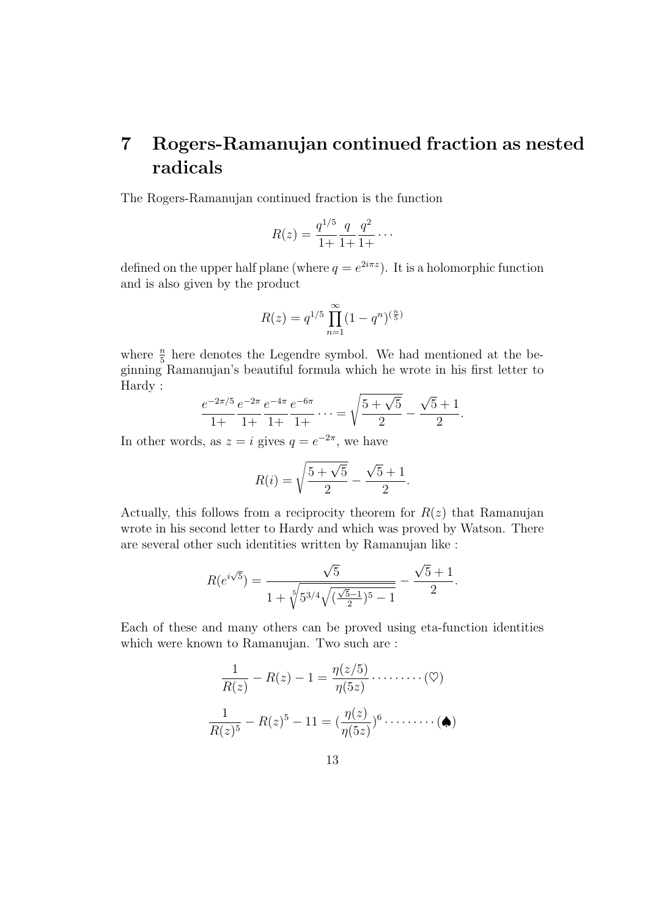# 7 Rogers-Ramanujan continued fraction as nested radicals

The Rogers-Ramanujan continued fraction is the function

$$
R(z) = \frac{q^{1/5}}{1+} \frac{q}{1+} \frac{q^2}{1+} \cdots
$$

defined on the upper half plane (where  $q = e^{2i\pi z}$ ). It is a holomorphic function and is also given by the product

$$
R(z) = q^{1/5} \prod_{n=1}^{\infty} (1 - q^n)^{\left(\frac{n}{5}\right)}
$$

where  $\frac{n}{5}$  here denotes the Legendre symbol. We had mentioned at the beginning Ramanujan's beautiful formula which he wrote in his first letter to Hardy : s

$$
\frac{e^{-2\pi/5}}{1+} \frac{e^{-2\pi}}{1+} \frac{e^{-4\pi}}{1+} \frac{e^{-6\pi}}{1+} \cdots = \sqrt{\frac{5+\sqrt{5}}{2}} - \frac{\sqrt{5}+1}{2}.
$$

In other words, as  $z = i$  gives  $q = e^{-2\pi}$ , we have

$$
R(i) = \sqrt{\frac{5 + \sqrt{5}}{2}} - \frac{\sqrt{5} + 1}{2}.
$$

Actually, this follows from a reciprocity theorem for  $R(z)$  that Ramanujan wrote in his second letter to Hardy and which was proved by Watson. There are several other such identities written by Ramanujan like :

$$
R(e^{i\sqrt{5}}) = \frac{\sqrt{5}}{1 + \sqrt[5]{5^{3/4}\sqrt{(\frac{\sqrt{5}-1}{2})^5 - 1}}} - \frac{\sqrt{5}+1}{2}.
$$

Each of these and many others can be proved using eta-function identities which were known to Ramanujan. Two such are :

$$
\frac{1}{R(z)} - R(z) - 1 = \frac{\eta(z/5)}{\eta(5z)} \cdots \cdots \cdots (\heartsuit)
$$

$$
\frac{1}{R(z)^5} - R(z)^5 - 11 = (\frac{\eta(z)}{\eta(5z)})^6 \cdots \cdots \cdots (\spadesuit)
$$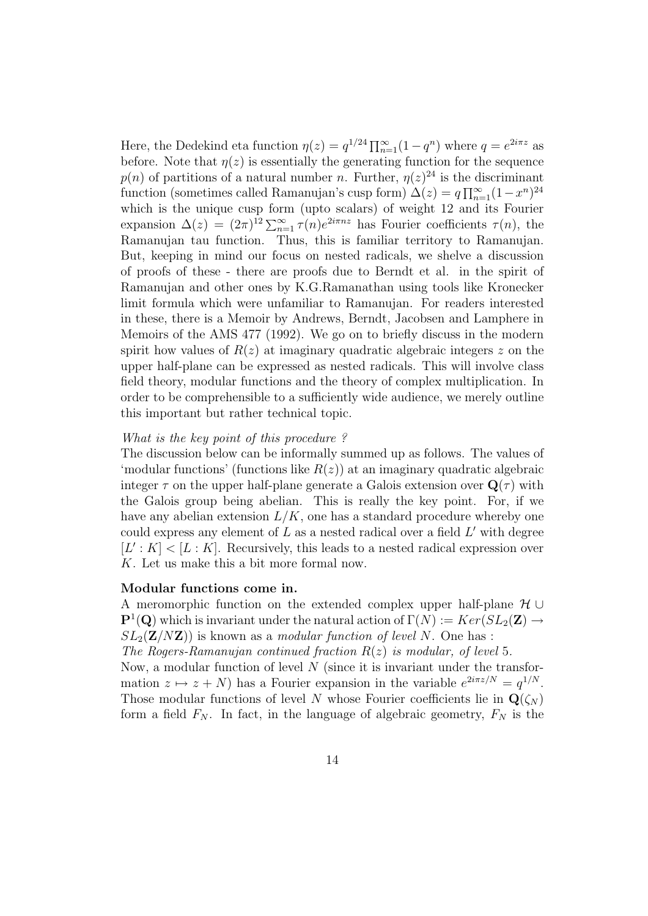Here, the Dedekind eta function  $\eta(z) = q^{1/24} \prod_{n=1}^{\infty} (1 - q^n)$  where  $q = e^{2i\pi z}$  as before. Note that  $\eta(z)$  is essentially the generating function for the sequence  $p(n)$  of partitions of a natural number n. Further,  $\eta(z)^{24}$  is the discriminant function (sometimes called Ramanujan's cusp form)  $\Delta(z) = q \prod_{n=1}^{\infty} (1-x^n)^{24}$ which is the unique cusp form (upto scalars) of weight 12 and its Fourier expansion  $\Delta(z) = (2\pi)^{12} \sum_{n=1}^{\infty} \tau(n) e^{2i\pi nz}$  has Fourier coefficients  $\tau(n)$ , the Ramanujan tau function. Thus, this is familiar territory to Ramanujan. But, keeping in mind our focus on nested radicals, we shelve a discussion of proofs of these - there are proofs due to Berndt et al. in the spirit of Ramanujan and other ones by K.G.Ramanathan using tools like Kronecker limit formula which were unfamiliar to Ramanujan. For readers interested in these, there is a Memoir by Andrews, Berndt, Jacobsen and Lamphere in Memoirs of the AMS 477 (1992). We go on to briefly discuss in the modern spirit how values of  $R(z)$  at imaginary quadratic algebraic integers z on the upper half-plane can be expressed as nested radicals. This will involve class field theory, modular functions and the theory of complex multiplication. In order to be comprehensible to a sufficiently wide audience, we merely outline this important but rather technical topic.

### What is the key point of this procedure?

The discussion below can be informally summed up as follows. The values of 'modular functions' (functions like  $R(z)$ ) at an imaginary quadratic algebraic integer  $\tau$  on the upper half-plane generate a Galois extension over  $\mathbf{Q}(\tau)$  with the Galois group being abelian. This is really the key point. For, if we have any abelian extension  $L/K$ , one has a standard procedure whereby one could express any element of  $L$  as a nested radical over a field  $L'$  with degree  $[L': K] < [L: K]$ . Recursively, this leads to a nested radical expression over K. Let us make this a bit more formal now.

#### Modular functions come in.

A meromorphic function on the extended complex upper half-plane  $\mathcal{H} \cup$  $\mathbf{P}^1(\mathbf{Q})$  which is invariant under the natural action of  $\Gamma(N) := Ker(SL_2(\mathbf{Z}) \to$  $SL_2(\mathbf{Z}/N\mathbf{Z})$  is known as a *modular function of level N*. One has :

The Rogers-Ramanujan continued fraction  $R(z)$  is modular, of level 5.

Now, a modular function of level  $N$  (since it is invariant under the transformation  $z \mapsto z + N$ ) has a Fourier expansion in the variable  $e^{2i\pi z/N} = q^{1/N}$ . Those modular functions of level N whose Fourier coefficients lie in  $\mathbf{Q}(\zeta_N)$ form a field  $F_N$ . In fact, in the language of algebraic geometry,  $F_N$  is the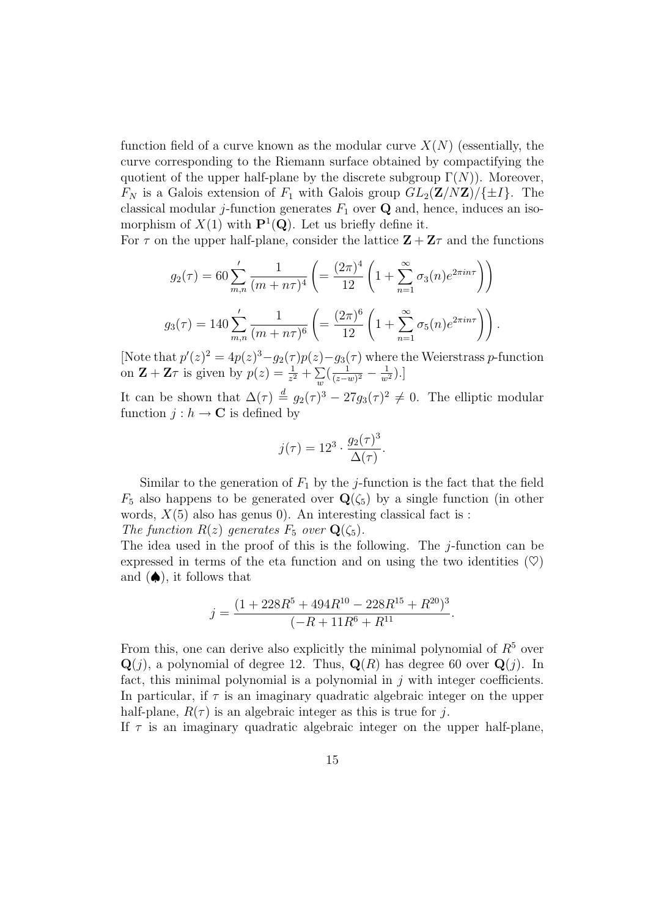function field of a curve known as the modular curve  $X(N)$  (essentially, the curve corresponding to the Riemann surface obtained by compactifying the quotient of the upper half-plane by the discrete subgroup  $\Gamma(N)$ ). Moreover,  $F_N$  is a Galois extension of  $F_1$  with Galois group  $GL_2(\mathbf{Z}/N\mathbf{Z})/\{\pm I\}$ . The classical modular j-function generates  $F_1$  over  $\bf{Q}$  and, hence, induces an isomorphism of  $X(1)$  with  $\mathbf{P}^1(\mathbf{Q})$ . Let us briefly define it.

For  $\tau$  on the upper half-plane, consider the lattice  $\mathbf{Z} + \mathbf{Z}\tau$  and the functions

$$
g_2(\tau) = 60 \sum'_{m,n} \frac{1}{(m+n\tau)^4} \left( = \frac{(2\pi)^4}{12} \left( 1 + \sum_{n=1}^{\infty} \sigma_3(n) e^{2\pi i n\tau} \right) \right)
$$
  

$$
g_3(\tau) = 140 \sum'_{m,n} \frac{1}{(m+n\tau)^6} \left( = \frac{(2\pi)^6}{12} \left( 1 + \sum_{n=1}^{\infty} \sigma_5(n) e^{2\pi i n\tau} \right) \right).
$$

[Note that  $p'(z)^2 = 4p(z)^3 - g_2(\tau)p(z) - g_3(\tau)$  where the Weierstrass p-function on  $\mathbf{Z} + \mathbf{Z}\tau$  is given by  $p(z) = \frac{1}{z^2} + \sum_{i=1}^{\infty}$  $\sum_{w}$   $\left(\frac{1}{z-i}\right)$  $\frac{1}{(z-w)^2} - \frac{1}{w^2}$ ).]

It can be shown that  $\Delta(\tau) \stackrel{d}{=} g_2(\tau)^3 - 27g_3(\tau)^2 \neq 0$ . The elliptic modular function  $j : h \to \mathbf{C}$  is defined by

$$
j(\tau) = 12^3 \cdot \frac{g_2(\tau)^3}{\Delta(\tau)}.
$$

Similar to the generation of  $F_1$  by the j-function is the fact that the field  $F_5$  also happens to be generated over  $\mathbf{Q}(\zeta_5)$  by a single function (in other words,  $X(5)$  also has genus 0). An interesting classical fact is : The function  $R(z)$  generates  $F_5$  over  $\mathbf{Q}(\zeta_5)$ .

The idea used in the proof of this is the following. The  $i$ -function can be expressed in terms of the eta function and on using the two identities  $(\heartsuit)$ and  $(\spadesuit)$ , it follows that

$$
j = \frac{(1 + 228R^5 + 494R^{10} - 228R^{15} + R^{20})^3}{(-R + 11R^6 + R^{11}}.
$$

From this, one can derive also explicitly the minimal polynomial of  $R^5$  over  $\mathbf{Q}(j)$ , a polynomial of degree 12. Thus,  $\mathbf{Q}(R)$  has degree 60 over  $\mathbf{Q}(j)$ . In fact, this minimal polynomial is a polynomial in  $j$  with integer coefficients. In particular, if  $\tau$  is an imaginary quadratic algebraic integer on the upper half-plane,  $R(\tau)$  is an algebraic integer as this is true for j.

If  $\tau$  is an imaginary quadratic algebraic integer on the upper half-plane,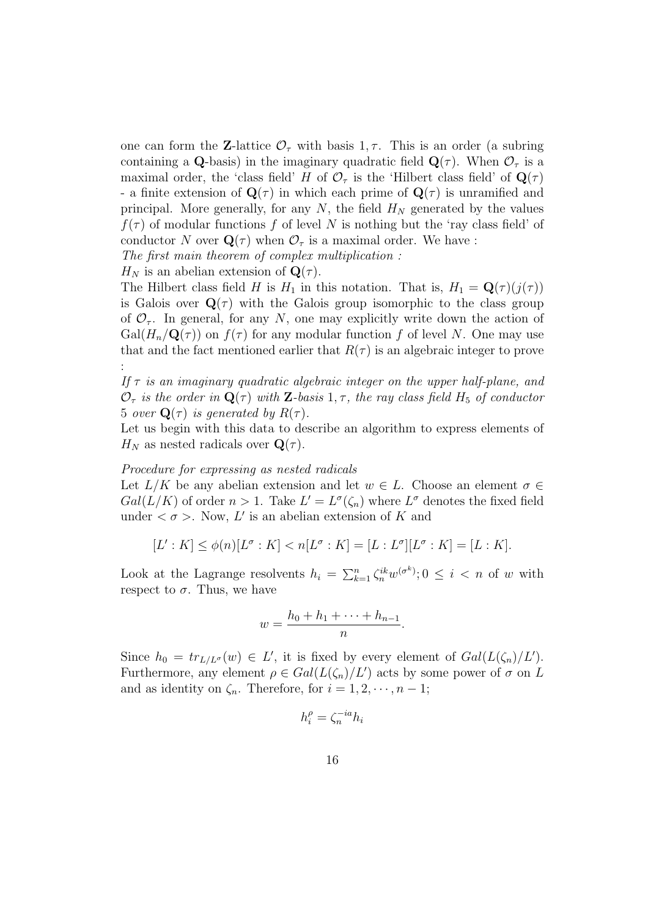one can form the **Z**-lattice  $\mathcal{O}_{\tau}$  with basis 1,  $\tau$ . This is an order (a subring containing a Q-basis) in the imaginary quadratic field  $\mathbf{Q}(\tau)$ . When  $\mathcal{O}_{\tau}$  is a maximal order, the 'class field' H of  $\mathcal{O}_{\tau}$  is the 'Hilbert class field' of  $\mathbf{Q}(\tau)$ - a finite extension of  $\mathbf{Q}(\tau)$  in which each prime of  $\mathbf{Q}(\tau)$  is unramified and principal. More generally, for any N, the field  $H<sub>N</sub>$  generated by the values  $f(\tau)$  of modular functions f of level N is nothing but the 'ray class field' of conductor N over  $\mathbf{Q}(\tau)$  when  $\mathcal{O}_{\tau}$  is a maximal order. We have :

The first main theorem of complex multiplication :

 $H_N$  is an abelian extension of  $\mathbf{Q}(\tau)$ .

The Hilbert class field H is  $H_1$  in this notation. That is,  $H_1 = \mathbf{Q}(\tau)(j(\tau))$ is Galois over  $\mathbf{Q}(\tau)$  with the Galois group isomorphic to the class group of  $\mathcal{O}_{\tau}$ . In general, for any N, one may explicitly write down the action of  $Gal(H_n/\mathbf{Q}(\tau))$  on  $f(\tau)$  for any modular function f of level N. One may use that and the fact mentioned earlier that  $R(\tau)$  is an algebraic integer to prove :

If  $\tau$  is an imaginary quadratic algebraic integer on the upper half-plane, and  $\mathcal{O}_{\tau}$  is the order in  $\mathbf{Q}(\tau)$  with **Z**-basis 1,  $\tau$ , the ray class field H<sub>5</sub> of conductor 5 over  $\mathbf{Q}(\tau)$  is generated by  $R(\tau)$ .

Let us begin with this data to describe an algorithm to express elements of  $H_N$  as nested radicals over  $\mathbf{Q}(\tau)$ .

#### Procedure for expressing as nested radicals

Let  $L/K$  be any abelian extension and let  $w \in L$ . Choose an element  $\sigma \in$  $Gal(L/K)$  of order  $n > 1$ . Take  $L' = L^{\sigma}(\zeta_n)$  where  $L^{\sigma}$  denotes the fixed field under  $\langle \sigma \rangle$ . Now, L' is an abelian extension of K and

$$
[L':K] \le \phi(n)[L^{\sigma}:K] < n[L^{\sigma}:K] = [L:L^{\sigma}][L^{\sigma}:K] = [L:K].
$$

Look at the Lagrange resolvents  $h_i = \sum_{k=1}^n \zeta_n^{ik} w^{(\sigma^k)}$ ;  $0 \leq i < n$  of w with respect to  $\sigma$ . Thus, we have

$$
w=\frac{h_0+h_1+\cdots+h_{n-1}}{n}.
$$

Since  $h_0 = tr_{L/L^{\sigma}}(w) \in L'$ , it is fixed by every element of  $Gal(L(\zeta_n)/L')$ . Furthermore, any element  $\rho \in Gal(L(\zeta_n)/L')$  acts by some power of  $\sigma$  on L and as identity on  $\zeta_n$ . Therefore, for  $i = 1, 2, \dots, n - 1$ ;

$$
h_i^{\rho}=\zeta_n^{-ia}h_i
$$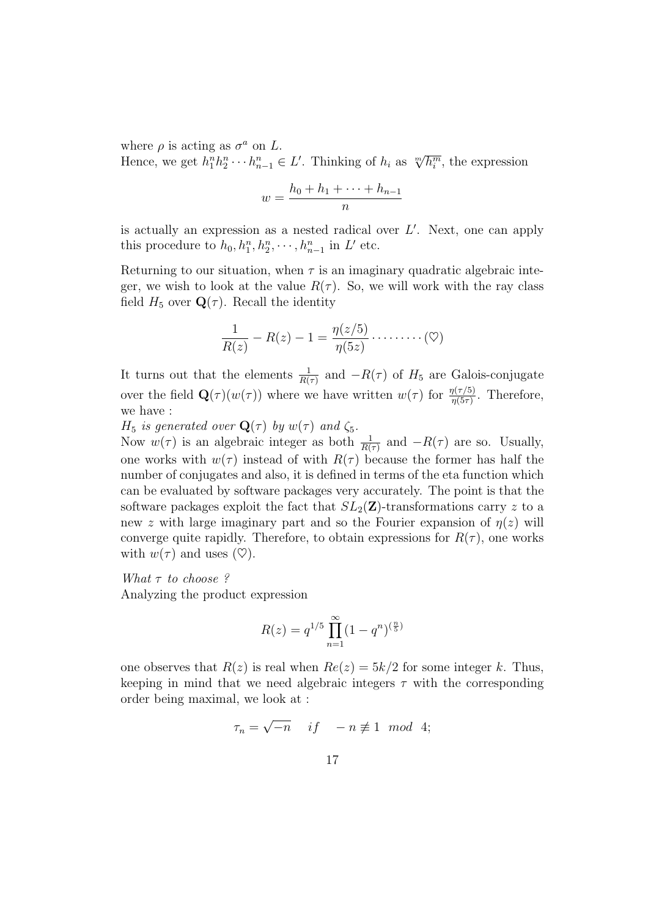where  $\rho$  is acting as  $\sigma^a$  on L. where  $\rho$  is acting as  $o$  on  $L$ .<br>Hence, we get  $h_1^n h_2^n \cdots h_{n-1}^n \in L'$ . Thinking of  $h_i$  as  $\sqrt[m]{h_i^m}$ , the expression

$$
w = \frac{h_0 + h_1 + \dots + h_{n-1}}{n}
$$

is actually an expression as a nested radical over  $L'$ . Next, one can apply this procedure to  $h_0, h_1^n, h_2^n, \cdots, h_{n-1}^n$  in L' etc.

Returning to our situation, when  $\tau$  is an imaginary quadratic algebraic integer, we wish to look at the value  $R(\tau)$ . So, we will work with the ray class field  $H_5$  over  $\mathbf{Q}(\tau)$ . Recall the identity

$$
\frac{1}{R(z)} - R(z) - 1 = \frac{\eta(z/5)}{\eta(5z)} \cdots \cdots \cdots (\heartsuit)
$$

It turns out that the elements  $\frac{1}{R(\tau)}$  and  $-R(\tau)$  of  $H_5$  are Galois-conjugate over the field  $\mathbf{Q}(\tau)(w(\tau))$  where we have written  $w(\tau)$  for  $\frac{\eta(\tau/5)}{\eta(5\tau)}$ . Therefore, we have :

 $H_5$  is generated over  $\mathbf{Q}(\tau)$  by  $w(\tau)$  and  $\zeta_5$ .

Now  $w(\tau)$  is an algebraic integer as both  $\frac{1}{R(\tau)}$  and  $-R(\tau)$  are so. Usually, one works with  $w(\tau)$  instead of with  $R(\tau)$  because the former has half the number of conjugates and also, it is defined in terms of the eta function which can be evaluated by software packages very accurately. The point is that the software packages exploit the fact that  $SL_2(\mathbf{Z})$ -transformations carry z to a new z with large imaginary part and so the Fourier expansion of  $\eta(z)$  will converge quite rapidly. Therefore, to obtain expressions for  $R(\tau)$ , one works with  $w(\tau)$  and uses  $(\heartsuit)$ .

What  $\tau$  to choose?

Analyzing the product expression

$$
R(z) = q^{1/5} \prod_{n=1}^{\infty} (1 - q^n)^{\left(\frac{n}{5}\right)}
$$

one observes that  $R(z)$  is real when  $Re(z) = 5k/2$  for some integer k. Thus, keeping in mind that we need algebraic integers  $\tau$  with the corresponding order being maximal, we look at :

$$
\tau_n = \sqrt{-n} \quad \text{if} \quad -n \not\equiv 1 \mod 4;
$$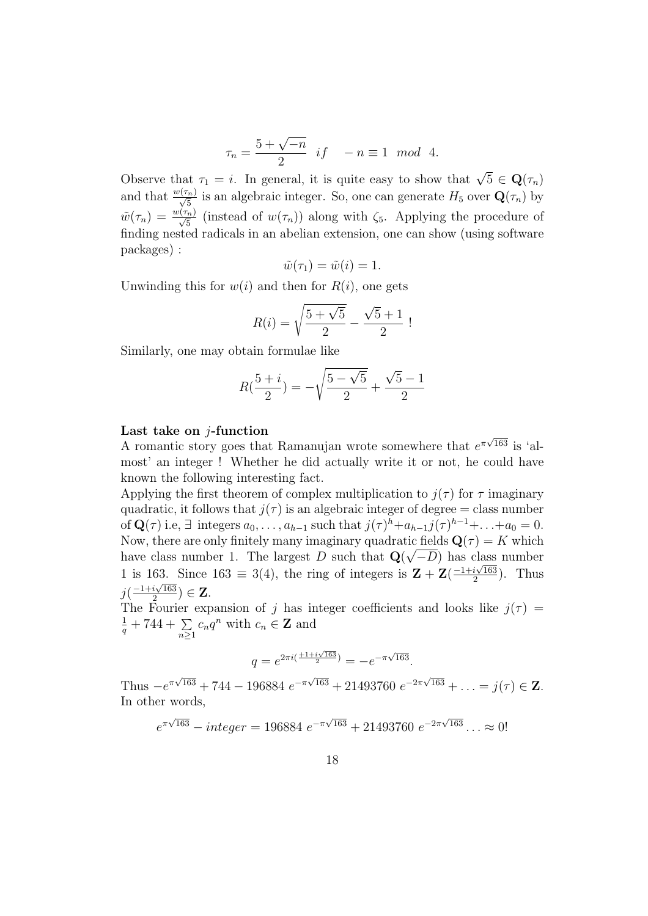$$
\tau_n = \frac{5 + \sqrt{-n}}{2} \quad \text{if} \quad -n \equiv 1 \mod 4.
$$

Observe that  $\tau_1 = i$ . In general, it is quite easy to show that  $\sqrt{5} \in \mathbf{Q}(\tau_n)$ and that  $\frac{w(\tau_n)}{\sqrt{5}}$  is an algebraic integer. So, one can generate  $H_5$  over  $\mathbf{Q}(\tau_n)$  by  $\tilde{w}(\tau_n) = \frac{w(\tau_n)}{\sqrt{5}}$  (instead of  $w(\tau_n)$ ) along with  $\zeta_5$ . Applying the procedure of finding nested radicals in an abelian extension, one can show (using software packages) :

$$
\tilde{w}(\tau_1) = \tilde{w}(i) = 1.
$$

Unwinding this for  $w(i)$  and then for  $R(i)$ , one gets

$$
R(i) = \sqrt{\frac{5 + \sqrt{5}}{2}} - \frac{\sqrt{5} + 1}{2}!
$$

Similarly, one may obtain formulae like

$$
R(\frac{5+i}{2}) = -\sqrt{\frac{5-\sqrt{5}}{2}} + \frac{\sqrt{5}-1}{2}
$$

#### Last take on  $i$ -function

**East take on** *f*-function most' an integer ! Whether he did actually write it or not, he could have known the following interesting fact.

Applying the first theorem of complex multiplication to  $j(\tau)$  for  $\tau$  imaginary quadratic, it follows that  $j(\tau)$  is an algebraic integer of degree = class number of  $\mathbf{Q}(\tau)$  i.e,  $\exists$  integers  $a_0, \ldots, a_{h-1}$  such that  $j(\tau)^h + a_{h-1}j(\tau)^{h-1} + \ldots + a_0 = 0$ . Now, there are only finitely many imaginary quadratic fields  $\mathbf{Q}(\tau) = K$  which have class number 1. The largest D such that  $\mathbf{Q}(\sqrt{-D})$  has class number 1 is 163. Since 163  $\equiv 3(4)$ , the ring of integers is  $\mathbf{Z} + \mathbf{Z} \left( \frac{-1+i\sqrt{163}}{2} \right)$  $33.$  Since  $163 \equiv 3(4)$ , the ring of integers is  $\mathbf{Z} + \mathbf{Z}(\frac{-1+i\sqrt{163}}{2})$ . Thus  $j\left(\frac{-1+i\sqrt{163}}{2}\right)$  $\frac{i\sqrt{163}}{2}) \in \mathbf{Z}$ .

The Fourier expansion of j has integer coefficients and looks like  $j(\tau)$  =  $\frac{1}{q}$  + 744 +  $\sum_{n\geq 1} c_n q^n$  with  $c_n \in \mathbb{Z}$  and

$$
q = e^{2\pi i \left(\frac{\pm 1 + i\sqrt{163}}{2}\right)} = -e^{-\pi\sqrt{163}}.
$$

Thus  $-e^{\pi\sqrt{163}} + 744 - 196884 e^{-\pi\sqrt{163}} + 21493760 e^{-2\pi\sqrt{163}} + \ldots = j(\tau) \in \mathbb{Z}$ . In other words,

$$
e^{\pi\sqrt{163}} - integer = 196884 e^{-\pi\sqrt{163}} + 21493760 e^{-2\pi\sqrt{163}} ... \approx 0!
$$